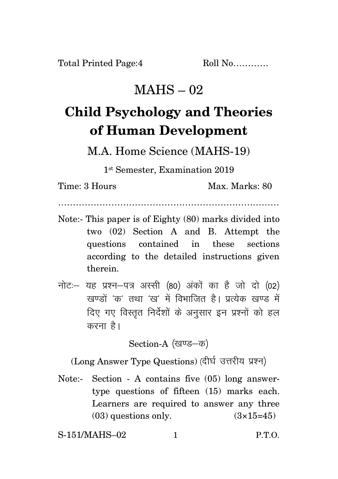## $MAHS - 02$

## **Child Psychology and Theories of Human Development**

M.A. Home Science (MAHS-19)

1 st Semester, Examination 2019

Time: 3 Hours Max. Marks: 80

…………………………………………………………………

- Note:- This paper is of Eighty (80) marks divided into two (02) Section A and B. Attempt the questions contained in these sections according to the detailed instructions given therein.
- नोट: यह प्रश्न-पत्र अस्सी (80) अंकों का है जो दो (02) रवण्डों 'क' तथा 'रव' में विभाजित है। प्रत्येक रवण्ड में दिए गए विस्तृत निर्देशों के अनुसार इन प्रश्नों को हल करना है।

Section-A (खण्ड-क)

(Long Answer Type Questions) (दीर्घ उत्तरीय प्रश्न)

Note:- Section - A contains five (05) long answertype questions of fifteen (15) marks each. Learners are required to answer any three  $(03)$  questions only.  $(3\times15=45)$ 

S-151/MAHS–02 1 P.T.O.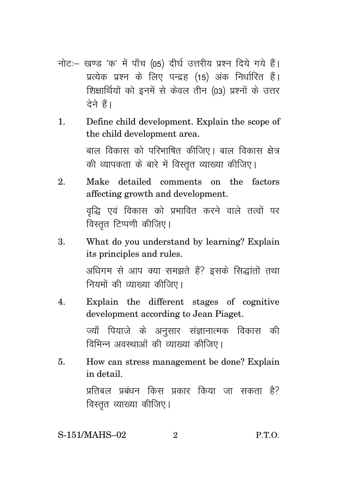- नोट:- खण्ड 'क' में पाँच (05) दीर्घ उत्तरीय प्रश्न दिये गये हैं। प्रत्येक प्रश्न के लिए पन्द्रह (15) अंक निर्धारित हैं। शिक्षार्थियों को इनमें से केवल तीन (03) प्रश्नों के उत्तर टेने हैं।
- Define child development. Explain the scope of  $\mathbf{1}$ . the child development area. बाल विकास को परिभाषित कीजिए। बाल विकास क्षेत्र की व्यापकता के बारे में विस्तुत व्याख्या कीजिए।
- $\mathfrak{D}_{\alpha}$ Make detailed comments on the factors affecting growth and development. वृद्धि एवं विकास को प्रभावित करने वाले तत्वों पर विस्तृत टिप्पणी कीजिए।
- 3. What do you understand by learning? Explain its principles and rules. अधिगम से आप क्या समझते हैं? इसके सिद्धांतों तथा नियमों की व्याख्या कीजिए।
- Explain the different stages of cognitive  $\overline{4}$ . development according to Jean Piaget. ज्याँ पियाजे के अनुसार संज्ञानात्मक विकास की विभिन्न अवस्थाओं की व्याख्या कीजिए।
- How can stress management be done? Explain 5. in detail.

प्रतिबल प्रबंधन किस प्रकार किया जा सकता है? विस्तृत व्याख्या कीजिए।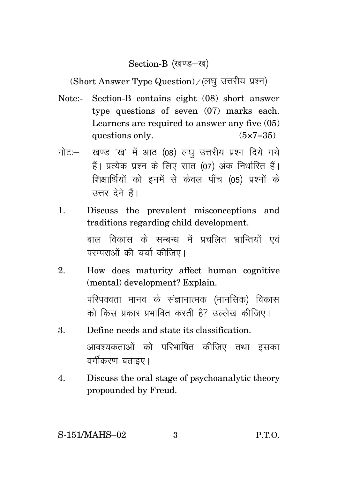Section-B (खण्ड-ख)

(Short Answer Type Question) / (लघु उत्तरीय प्रश्न)

- Note:- Section-B contains eight (08) short answer type questions of seven (07) marks each. Learners are required to answer any five (05) questions only.  $(5 \times 7 = 35)$
- नोट: खण्ड 'ख' में आठ (08) लघु उत्तरीय प्रश्न दिये गये हैं। प्रत्येक प्रश्न के लिए सात (07) अंक निर्धारित हैं। शिक्षार्थियों को इनमें से केवल पाँच (05) प्रश्नों के उत्तर देने हैं।
- 1. Discuss the prevalent misconceptions and traditions regarding child development.

बाल विकास के सम्बन्ध में प्रचलित भ्रान्तियों एवं परम्पराओं की चर्चा कीजिए।

- 2. How does maturity affect human cognitive (mental) development? Explain. परिपक्वता मानव के संज्ञानात्मक (मानसिक) विकास को किस प्रकार प्रभावित करती है? उल्लेख कीजिए।
- 3. Define needs and state its classification. आवश्यकताओं को परिभाषित कीजिए तथा इसका वर्गीकरण बताइए।
- 4. Discuss the oral stage of psychoanalytic theory propounded by Freud.